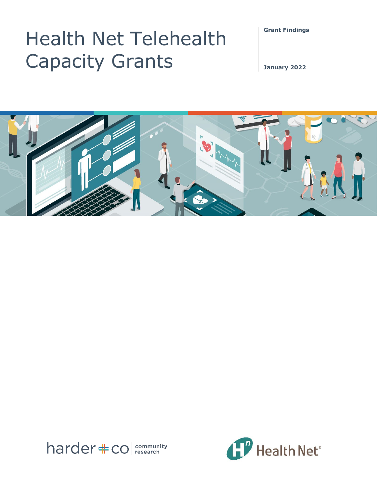**Grant Findings** 

# Health Net Telehealth Capacity Grants

**January 2022**





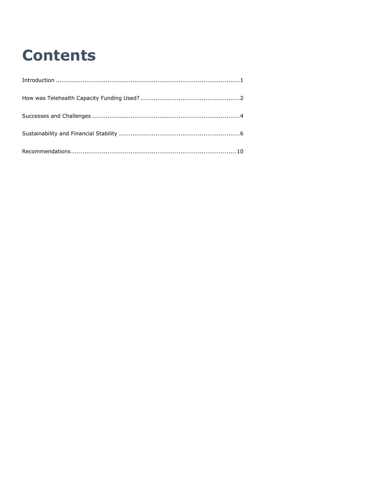# **Contents**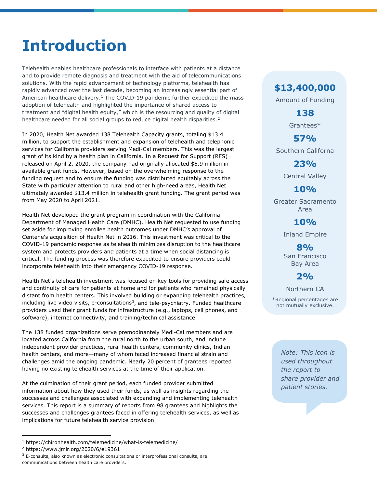# <span id="page-2-0"></span>**Introduction**

Telehealth enables healthcare professionals to interface with patients at a distance and to provide remote diagnosis and treatment with the aid of telecommunications solutions. With the rapid advancement of technology platforms, telehealth has rapidly advanced over the last decade, becoming an increasingly essential part of American healthcare delivery.<sup>[1](#page-2-1)</sup> The COVID-19 pandemic further expedited the mass adoption of telehealth and highlighted the importance of shared access to treatment and "digital health equity," which is the resourcing and quality of digital healthcare needed for all social groups to reduce digital health disparities.<sup>[2](#page-2-2)</sup>

In 2020, Health Net awarded 138 Telehealth Capacity grants, totaling \$13.4 million, to support the establishment and expansion of telehealth and telephonic services for California providers serving Medi-Cal members. This was the largest grant of its kind by a health plan in California. In a Request for Support (RFS) released on April 2, 2020, the company had originally allocated \$5.9 million in available grant funds. However, based on the overwhelming response to the funding request and to ensure the funding was distributed equitably across the State with particular attention to rural and other high-need areas, Health Net ultimately awarded \$13.4 million in telehealth grant funding. The grant period was from May 2020 to April 2021.

Health Net developed the grant program in coordination with the California Department of Managed Health Care (DMHC). Health Net requested to use funding set aside for improving enrollee health outcomes under DMHC's approval of Centene's acquisition of Health Net in 2016. This investment was critical to the COVID-19 pandemic response as telehealth minimizes disruption to the healthcare system and protects providers and patients at a time when social distancing is critical. The funding process was therefore expedited to ensure providers could incorporate telehealth into their emergency COVID-19 response.

Health Net's telehealth investment was focused on key tools for providing safe access and continuity of care for patients at home and for patients who remained physically distant from health centers. This involved building or expanding telehealth practices, including live video visits, e-consultations $3$ , and tele-psychiatry. Funded healthcare providers used their grant funds for infrastructure (e.g., laptops, cell phones, and software), internet connectivity, and training/technical assistance.

The 138 funded organizations serve premodinantely Medi-Cal members and are located across California from the rural north to the urban south, and include independent provider practices, rural health centers, community clinics, Indian health centers, and more—many of whom faced increased financial strain and challenges amid the ongoing pandemic. Nearly 20 percent of grantees reported having no existing telehealth services at the time of their application.

At the culmination of their grant period, each funded provider submitted information about how they used their funds, as well as insights regarding the successes and challenges associated with expanding and implementing telehealth services. This report is a summary of reports from 98 grantees and highlights the successes and challenges grantees faced in offering telehealth services, as well as implications for future telehealth service provision.

# **\$13,400,000**

Amount of Funding

**138** Grantees\*

**57%**

Southern Californa

**23%**

Central Valley

## **10%**

Greater Sacramento Area

## **10%**

Inland Empire

**8%** San Francisco Bay Area

# **2%**

Northern CA

\*Regional percentages are not mutually exclusive.

> *Note: This icon is used throughout the report to share provider and patient stories.*

<span id="page-2-1"></span><sup>1</sup> https://chironhealth.com/telemedicine/what-is-telemedicine/

<span id="page-2-2"></span><sup>2</sup> https://www.jmir.org/2020/6/e19361

<span id="page-2-3"></span> $3$  E-consults, also known as electronic consultations or interprofessional consults, are communications between health care providers.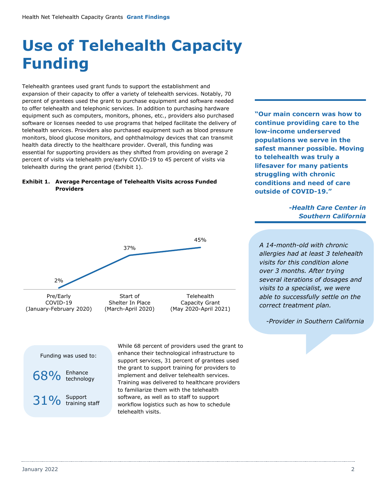# <span id="page-3-0"></span>**Use of Telehealth Capacity Funding**

Telehealth grantees used grant funds to support the establishment and expansion of their capacity to offer a variety of telehealth services. Notably, 70 percent of grantees used the grant to purchase equipment and software needed to offer telehealth and telephonic services. In addition to purchasing hardware equipment such as computers, monitors, phones, etc., providers also purchased software or licenses needed to use programs that helped facilitate the delivery of telehealth services. Providers also purchased equipment such as blood pressure monitors, blood glucose monitors, and ophthalmology devices that can transmit health data directly to the healthcare provider. Overall, this funding was essential for supporting providers as they shifted from providing on average 2 percent of visits via telehealth pre/early COVID-19 to 45 percent of visits via telehealth during the grant period (Exhibit 1).

### **Exhibit 1. Average Percentage of Telehealth Visits across Funded Providers**



While 68 percent of providers used the grant to enhance their technological infrastructure to support services, 31 percent of grantees used the grant to support training for providers to implement and deliver telehealth services. Training was delivered to healthcare providers to familiarize them with the telehealth software, as well as to staff to support workflow logistics such as how to schedule telehealth visits.

**"Our main concern was how to continue providing care to the low-income underserved populations we serve in the safest manner possible. Moving to telehealth was truly a lifesaver for many patients struggling with chronic conditions and need of care outside of COVID-19."**

## *-Health Care Center in Southern California*

*A 14-month-old with chronic allergies had at least 3 telehealth visits for this condition alone over 3 months. After trying several iterations of dosages and visits to a specialist, we were able to successfully settle on the correct treatment plan.*

*-Provider in Southern California*

Funding was used to:





January 2022 2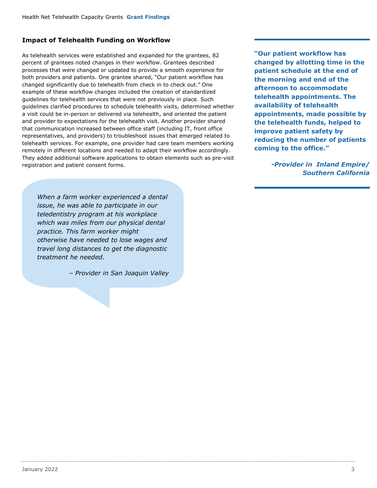## **Impact of Telehealth Funding on Workflow**

As telehealth services were established and expanded for the grantees, 82 percent of grantees noted changes in their workflow. Grantees described processes that were changed or updated to provide a smooth experience for both providers and patients. One grantee shared, "Our patient workflow has changed significantly due to telehealth from check in to check out." One example of these workflow changes included the creation of standardized guidelines for telehealth services that were not previously in place. Such guidelines clarified procedures to schedule telehealth visits, determined whether a visit could be in-person or delivered via telehealth, and oriented the patient and provider to expectations for the telehealth visit. Another provider shared that communication increased between office staff (including IT, front office representatives, and providers) to troubleshoot issues that emerged related to telehealth services. For example, one provider had care team members working remotely in different locations and needed to adapt their workflow accordingly. They added additional software applications to obtain elements such as pre-visit registration and patient consent forms.

**"Our patient workflow has changed by allotting time in the patient schedule at the end of the morning and end of the afternoon to accommodate telehealth appointments. The availability of telehealth appointments, made possible by the telehealth funds, helped to improve patient safety by reducing the number of patients coming to the office."**

> *-Provider in Inland Empire/ Southern California*

*When a farm worker experienced a dental issue, he was able to participate in our teledentistry program at his workplace which was miles from our physical dental practice. This farm worker might otherwise have needed to lose wages and travel long distances to get the diagnostic treatment he needed.* 

*– Provider in San Joaquin Valley*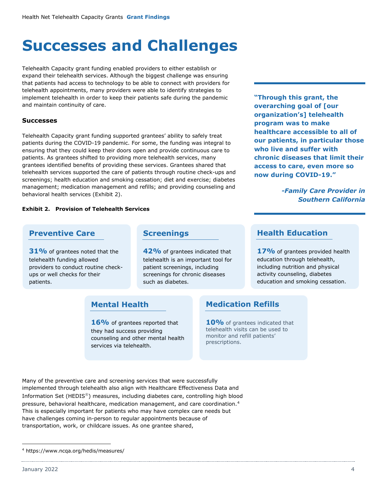# <span id="page-5-0"></span>**Successes and Challenges**

Telehealth Capacity grant funding enabled providers to either establish or expand their telehealth services. Although the biggest challenge was ensuring that patients had access to technology to be able to connect with providers for telehealth appointments, many providers were able to identify strategies to implement telehealth in order to keep their patients safe during the pandemic and maintain continuity of care.

## **Successes**

Telehealth Capacity grant funding supported grantees' ability to safely treat patients during the COVID-19 pandemic. For some, the funding was integral to ensuring that they could keep their doors open and provide continuous care to patients. As grantees shifted to providing more telehealth services, many grantees identified benefits of providing these services. Grantees shared that telehealth services supported the care of patients through routine check-ups and screenings; health education and smoking cessation; diet and exercise; diabetes management; medication management and refills; and providing counseling and behavioral health services (Exhibit 2).

### **Exhibit 2. Provision of Telehealth Services**

## **Preventive Care**

**31%** of grantees noted that the telehealth funding allowed providers to conduct routine checkups or well checks for their patients.

## **Screenings**

**42%** of grantees indicated that telehealth is an important tool for patient screenings, including screenings for chronic diseases such as diabetes.

## **Mental Health**

16% of grantees reported that they had success providing counseling and other mental health services via telehealth.

**"Through this grant, the overarching goal of [our organization's] telehealth program was to make healthcare accessible to all of our patients, in particular those who live and suffer with chronic diseases that limit their access to care, even more so now during COVID-19."**

## *-Family Care Provider in Southern California*

## **Health Education**

17% of grantees provided health education through telehealth, including nutrition and physical activity counseling, diabetes education and smoking cessation.

## **Medication Refills**

**10%** of grantees indicated that telehealth visits can be used to monitor and refill patients' prescriptions.

Many of the preventive care and screening services that were successfully implemented through telehealth also align with Healthcare Effectiveness Data and Information Set (HEDIS®) measures, including diabetes care, controlling high blood pressure, behavioral healthcare, medication management, and care coordination.[4](#page-5-1) This is especially important for patients who may have complex care needs but have challenges coming in-person to regular appointments because of transportation, work, or childcare issues. As one grantee shared,

<span id="page-5-1"></span><sup>4</sup> https://www.ncqa.org/hedis/measures/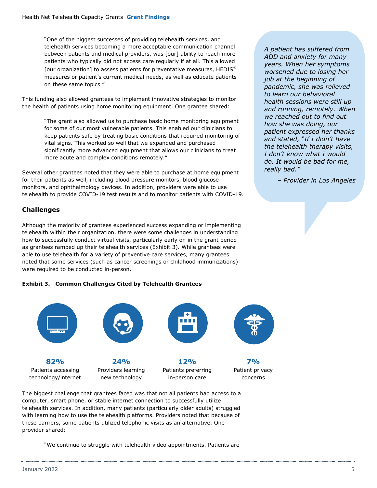"One of the biggest successes of providing telehealth services, and telehealth services becoming a more acceptable communication channel between patients and medical providers, was [our] ability to reach more patients who typically did not access care regularly if at all. This allowed [our organization] to assess patients for preventative measures, HEDIS<sup>®</sup> measures or patient's current medical needs, as well as educate patients on these same topics."

This funding also allowed grantees to implement innovative strategies to monitor the health of patients using home monitoring equipment. One grantee shared:

> "The grant also allowed us to purchase basic home monitoring equipment for some of our most vulnerable patients. This enabled our clinicians to keep patients safe by treating basic conditions that required monitoring of vital signs. This worked so well that we expanded and purchased significantly more advanced equipment that allows our clinicians to treat more acute and complex conditions remotely."

Several other grantees noted that they were able to purchase at home equipment for their patients as well, including blood pressure monitors, blood glucose monitors, and ophthalmology devices. In addition, providers were able to use telehealth to provide COVID-19 test results and to monitor patients with COVID-19.

## **Challenges**

Although the majority of grantees experienced success expanding or implementing telehealth within their organization, there were some challenges in understanding how to successfully conduct virtual visits, particularly early on in the grant period as grantees ramped up their telehealth services (Exhibit 3). While grantees were able to use telehealth for a variety of preventive care services, many grantees noted that some services (such as cancer screenings or childhood immunizations) were required to be conducted in-person.

## **Exhibit 3. Common Challenges Cited by Telehealth Grantees**



Patients preferring in-person care

Patient privacy

concerns

The biggest challenge that grantees faced was that not all patients had access to a computer, smart phone, or stable internet connection to successfully utilize telehealth services. In addition, many patients (particularly older adults) struggled with learning how to use the telehealth platforms. Providers noted that because of these barriers, some patients utilized telephonic visits as an alternative. One provider shared:

new technology

"We continue to struggle with telehealth video appointments. Patients are

*A patient has suffered from ADD and anxiety for many years. When her symptoms worsened due to losing her job at the beginning of pandemic, she was relieved to learn our behavioral health sessions were still up and running, remotely. When we reached out to find out how she was doing, our patient expressed her thanks and stated, "If I didn't have the telehealth therapy visits, I don't know what I would do. It would be bad for me, really bad."*

*– Provider in Los Angeles*

technology/internet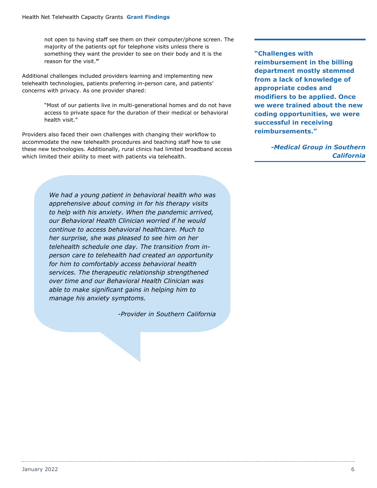not open to having staff see them on their computer/phone screen. The majority of the patients opt for telephone visits unless there is something they want the provider to see on their body and it is the reason for the visit.**"**

Additional challenges included providers learning and implementing new telehealth technologies, patients preferring in-person care, and patients' concerns with privacy. As one provider shared:

> "Most of our patients live in multi-generational homes and do not have access to private space for the duration of their medical or behavioral health visit."

Providers also faced their own challenges with changing their workflow to accommodate the new telehealth procedures and teaching staff how to use these new technologies. Additionally, rural clinics had limited broadband access which limited their ability to meet with patients via telehealth.

> *We had a young patient in behavioral health who was apprehensive about coming in for his therapy visits to help with his anxiety. When the pandemic arrived, our Behavioral Health Clinician worried if he would continue to access behavioral healthcare. Much to her surprise, she was pleased to see him on her telehealth schedule one day. The transition from inperson care to telehealth had created an opportunity for him to comfortably access behavioral health services. The therapeutic relationship strengthened over time and our Behavioral Health Clinician was able to make significant gains in helping him to manage his anxiety symptoms.*

> > *-Provider in Southern California*

**"Challenges with reimbursement in the billing department mostly stemmed from a lack of knowledge of appropriate codes and modifiers to be applied. Once we were trained about the new coding opportunities, we were successful in receiving reimbursements."** 

> <span id="page-7-0"></span>*-Medical Group in Southern California*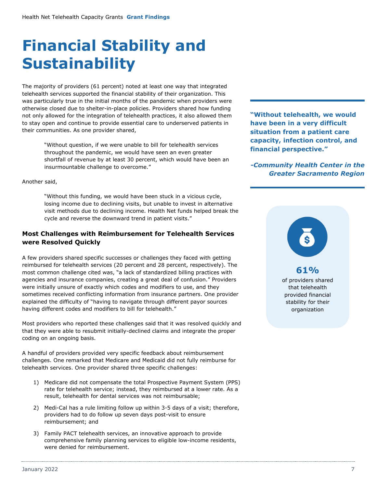# **Financial Stability and Sustainability**

The majority of providers (61 percent) noted at least one way that integrated telehealth services supported the financial stability of their organization. This was particularly true in the initial months of the pandemic when providers were otherwise closed due to shelter-in-place policies. Providers shared how funding not only allowed for the integration of telehealth practices, it also allowed them to stay open and continue to provide essential care to underserved patients in their communities. As one provider shared,

> "Without question, if we were unable to bill for telehealth services throughout the pandemic, we would have seen an even greater shortfall of revenue by at least 30 percent, which would have been an insurmountable challenge to overcome."

Another said,

"Without this funding, we would have been stuck in a vicious cycle, losing income due to declining visits, but unable to invest in alternative visit methods due to declining income. Health Net funds helped break the cycle and reverse the downward trend in patient visits."

## **Most Challenges with Reimbursement for Telehealth Services were Resolved Quickly**

A few providers shared specific successes or challenges they faced with getting reimbursed for telehealth services (20 percent and 28 percent, respectively). The most common challenge cited was, "a lack of standardized billing practices with agencies and insurance companies, creating a great deal of confusion." Providers were initially unsure of exactly which codes and modifiers to use, and they sometimes received conflicting information from insurance partners. One provider explained the difficulty of "having to navigate through different payor sources having different codes and modifiers to bill for telehealth."

Most providers who reported these challenges said that it was resolved quickly and that they were able to resubmit initially-declined claims and integrate the proper coding on an ongoing basis.

A handful of providers provided very specific feedback about reimbursement challenges. One remarked that Medicare and Medicaid did not fully reimburse for telehealth services. One provider shared three specific challenges:

- 1) Medicare did not compensate the total Prospective Payment System (PPS) rate for telehealth service; instead, they reimbursed at a lower rate. As a result, telehealth for dental services was not reimbursable;
- 2) Medi-Cal has a rule limiting follow up within 3-5 days of a visit; therefore, providers had to do follow up seven days post-visit to ensure reimbursement; and
- 3) Family PACT telehealth services, an innovative approach to provide comprehensive family planning services to eligible low-income residents, were denied for reimbursement.

**"Without telehealth, we would have been in a very difficult situation from a patient care capacity, infection control, and financial perspective."**

*-Community Health Center in the Greater Sacramento Region*

# **61%**

of providers shared that telehealth provided financial stability for their organization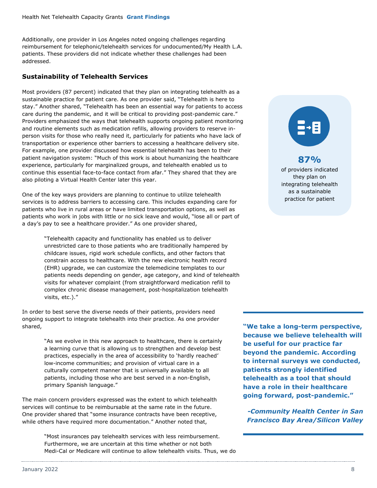Additionally, one provider in Los Angeles noted ongoing challenges regarding reimbursement for telephonic/telehealth services for undocumented/My Health L.A. patients. These providers did not indicate whether these challenges had been addressed.

## **Sustainability of Telehealth Services**

Most providers (87 percent) indicated that they plan on integrating telehealth as a sustainable practice for patient care. As one provider said, "Telehealth is here to stay." Another shared, "Telehealth has been an essential way for patients to access care during the pandemic, and it will be critical to providing post-pandemic care." Providers emphasized the ways that telehealth supports ongoing patient monitoring and routine elements such as medication refills, allowing providers to reserve inperson visits for those who really need it, particularly for patients who have lack of transportation or experience other barriers to accessing a healthcare delivery site. For example, one provider discussed how essential telehealth has been to their patient navigation system: "Much of this work is about humanizing the healthcare experience, particularly for marginalized groups, and telehealth enabled us to continue this essential face-to-face contact from afar." They shared that they are also piloting a Virtual Health Center later this year.

One of the key ways providers are planning to continue to utilize telehealth services is to address barriers to accessing care. This includes expanding care for patients who live in rural areas or have limited transportation options, as well as patients who work in jobs with little or no sick leave and would, "lose all or part of a day's pay to see a healthcare provider." As one provider shared,

> "Telehealth capacity and functionality has enabled us to deliver unrestricted care to those patients who are traditionally hampered by childcare issues, rigid work schedule conflicts, and other factors that constrain access to healthcare. With the new electronic health record (EHR) upgrade, we can customize the telemedicine templates to our patients needs depending on gender, age category, and kind of telehealth visits for whatever complaint (from straightforward medication refill to complex chronic disease management, post-hospitalization telehealth visits, etc.)."

In order to best serve the diverse needs of their patients, providers need ongoing support to integrate telehealth into their practice. As one provider shared,

> "As we evolve in this new approach to healthcare, there is certainly a learning curve that is allowing us to strengthen and develop best practices, especially in the area of accessibility to 'hardly reached' low-income communities; and provision of virtual care in a culturally competent manner that is universally available to all patients, including those who are best served in a non-English, primary Spanish language."

The main concern providers expressed was the extent to which telehealth services will continue to be reimbursable at the same rate in the future. One provider shared that "some insurance contracts have been receptive, while others have required more documentation." Another noted that,

> "Most insurances pay telehealth services with less reimbursement. Furthermore, we are uncertain at this time whether or not both Medi-Cal or Medicare will continue to allow telehealth visits. Thus, we do



## **87%**

of providers indicated they plan on integrating telehealth as a sustainable practice for patient

**"We take a long-term perspective, because we believe telehealth will be useful for our practice far beyond the pandemic. According to internal surveys we conducted, patients strongly identified telehealth as a tool that should have a role in their healthcare going forward, post-pandemic."**

*-Community Health Center in San Francisco Bay Area/Silicon Valley*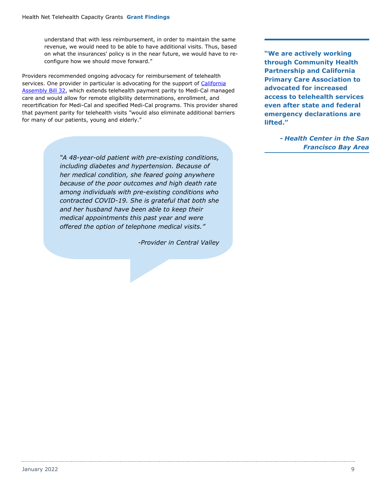understand that with less reimbursement, in order to maintain the same revenue, we would need to be able to have additional visits. Thus, based on what the insurances' policy is in the near future, we would have to reconfigure how we should move forward."

Providers recommended ongoing advocacy for reimbursement of telehealth services. One provider in particular is advocating for the support of [California](https://trackbill.com/bill/california-assembly-bill-32-telehealth/1953936/)  [Assembly Bill](https://trackbill.com/bill/california-assembly-bill-32-telehealth/1953936/) 32, which extends telehealth payment parity to Medi-Cal managed care and would allow for remote eligibility determinations, enrollment, and recertification for Medi-Cal and specified Medi-Cal programs. This provider shared that payment parity for telehealth visits "would also eliminate additional barriers for many of our patients, young and elderly."

> *"A 48-year-old patient with pre-existing conditions, including diabetes and hypertension. Because of her medical condition, she feared going anywhere because of the poor outcomes and high death rate among individuals with pre-existing conditions who contracted COVID-19. She is grateful that both she and her husband have been able to keep their medical appointments this past year and were offered the option of telephone medical visits."*

> > <span id="page-10-0"></span>*-Provider in Central Valley*

**"We are actively working through Community Health Partnership and California Primary Care Association to advocated for increased access to telehealth services even after state and federal emergency declarations are lifted."**

> *- Health Center in the San Francisco Bay Area*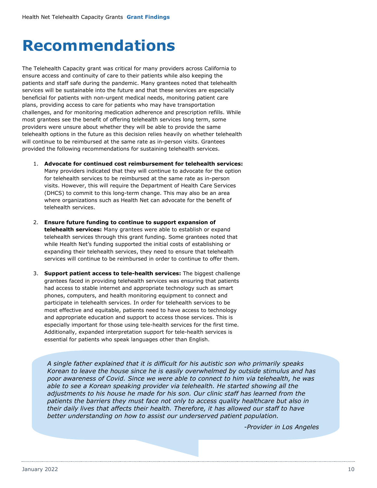# **Recommendations**

The Telehealth Capacity grant was critical for many providers across California to ensure access and continuity of care to their patients while also keeping the patients and staff safe during the pandemic. Many grantees noted that telehealth services will be sustainable into the future and that these services are especially beneficial for patients with non-urgent medical needs, monitoring patient care plans, providing access to care for patients who may have transportation challenges, and for monitoring medication adherence and prescription refills. While most grantees see the benefit of offering telehealth services long term, some providers were unsure about whether they will be able to provide the same telehealth options in the future as this decision relies heavily on whether telehealth will continue to be reimbursed at the same rate as in-person visits. Grantees provided the following recommendations for sustaining telehealth services.

- 1. **Advocate for continued cost reimbursement for telehealth services:** Many providers indicated that they will continue to advocate for the option for telehealth services to be reimbursed at the same rate as in-person visits. However, this will require the Department of Health Care Services (DHCS) to commit to this long-term change. This may also be an area where organizations such as Health Net can advocate for the benefit of telehealth services.
- 2. **Ensure future funding to continue to support expansion of telehealth services:** Many grantees were able to establish or expand telehealth services through this grant funding. Some grantees noted that while Health Net's funding supported the initial costs of establishing or expanding their telehealth services, they need to ensure that telehealth services will continue to be reimbursed in order to continue to offer them.
- 3. **Support patient access to tele-health services:** The biggest challenge grantees faced in providing telehealth services was ensuring that patients had access to stable internet and appropriate technology such as smart phones, computers, and health monitoring equipment to connect and participate in telehealth services. In order for telehealth services to be most effective and equitable, patients need to have access to technology and appropriate education and support to access those services. This is especially important for those using tele-health services for the first time. Additionally, expanded interpretation support for tele-health services is essential for patients who speak languages other than English.

*A single father explained that it is difficult for his autistic son who primarily speaks Korean to leave the house since he is easily overwhelmed by outside stimulus and has poor awareness of Covid. Since we were able to connect to him via telehealth, he was able to see a Korean speaking provider via telehealth. He started showing all the adjustments to his house he made for his son. Our clinic staff has learned from the patients the barriers they must face not only to access quality healthcare but also in their daily lives that affects their health. Therefore, it has allowed our staff to have better understanding on how to assist our underserved patient population.*

*-Provider in Los Angeles*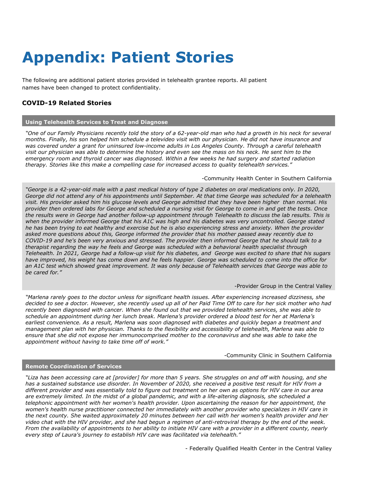# **Appendix: Patient Stories**

The following are additional patient stories provided in telehealth grantee reports. All patient names have been changed to protect confidentiality.

## **COVID-19 Related Stories**

### **Using Telehealth Services to Treat and Diagnose**

*"One of our Family Physicians recently told the story of a 62-year-old man who had a growth in his neck for several months. Finally, his son helped him schedule a televideo visit with our physician. He did not have insurance and was covered under a grant for uninsured low-income adults in Los Angeles County. Through a careful telehealth visit our physician was able to determine the history and even see the mass on his neck. He sent him to the emergency room and thyroid cancer was diagnosed. Within a few weeks he had surgery and started radiation therapy. Stories like this make a compelling case for increased access to quality telehealth services."*

#### -Community Health Center in Southern California

*"George is a 42-year-old male with a past medical history of type 2 diabetes on oral medications only. In 2020, George did not attend any of his appointments until September. At that time George was scheduled for a telehealth visit. His provider asked him his glucose levels and George admitted that they have been higher than normal. His provider then ordered labs for George and scheduled a nursing visit for George to come in and get the tests. Once the results were in George had another follow-up appointment through Telehealth to discuss the lab results. This is when the provider informed George that his A1C was high and his diabetes was very uncontrolled. George stated he has been trying to eat healthy and exercise but he is also experiencing stress and anxiety. When the provider asked more questions about this, George informed the provider that his mother passed away recently due to COVID-19 and he's been very anxious and stressed. The provider then informed George that he should talk to a therapist regarding the way he feels and George was scheduled with a behavioral health specialist through Telehealth. In 2021, George had a follow-up visit for his diabetes, and George was excited to share that his sugars have improved, his weight has come down and he feels happier. George was scheduled to come into the office for an A1C test which showed great improvement. It was only because of Telehealth services that George was able to be cared for."*

#### -Provider Group in the Central Valley

*"Marlena rarely goes to the doctor unless for significant health issues. After experiencing increased dizziness, she decided to see a doctor. However, she recently used up all of her Paid Time Off to care for her sick mother who had recently been diagnosed with cancer. When she found out that we provided telehealth services, she was able to schedule an appointment during her lunch break. Marlena's provider ordered a blood test for her at Marlena's earliest convenience. As a result, Marlena was soon diagnosed with diabetes and quickly began a treatment and management plan with her physician. Thanks to the flexibility and accessibility of telehealth, Marlena was able to ensure that she did not expose her immunocomprised mother to the coronavirus and she was able to take the appointment without having to take time off of work."*

#### -Community Clinic in Southern California

### **Remote Coordination of Services**

*"Liza has been accessing care at [provider] for more than 5 years. She struggles on and off with housing, and she has a sustained substance use disorder. In November of 2020, she received a positive test result for HIV from a different provider and was essentially told to figure out treatment on her own as options for HIV care in our area are extremely limited. In the midst of a global pandemic, and with a life-altering diagnosis, she scheduled a telephonic appointment with her women's health provider. Upon ascertaining the reason for her appointment, the*  women's health nurse practitioner connected her immediately with another provider who specializes in HIV care in *the next county. She waited approximately 20 minutes between her call with her women's health provider and her video chat with the HIV provider, and she had begun a regimen of anti-retroviral therapy by the end of the week. From the availability of appointments to her ability to initiate HIV care with a provider in a different county, nearly every step of Laura's journey to establish HIV care was facilitated via telehealth."*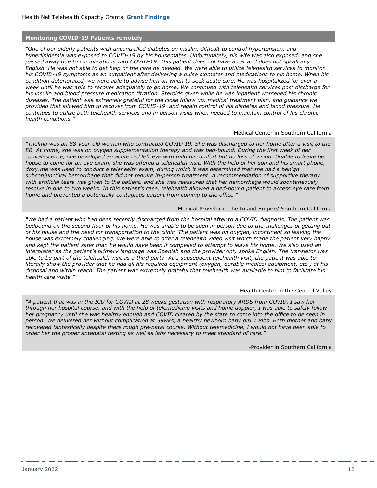### **Monitoring COVID-19 Patients remotely**

*"One of our elderly patients with uncontrolled diabetes on insulin, difficult to control hypertension, and hyperlipidemia was exposed to COVID-19 by his housemates. Unfortunately, his wife was also exposed, and she passed away due to complications with COVID-19. This patient does not have a car and does not speak any English. He was not able to get help or the care he needed. We were able to utilize telehealth services to monitor his COVID-19 symptoms as an outpatient after delivering a pulse oximeter and medications to his home. When his condition deteriorated, we were able to advise him on when to seek acute care. He was hospitalized for over a week until he was able to recover adequately to go home. We continued with telehealth services post discharge for his insulin and blood pressure medication titration. Steroids given while he was inpatient worsened his chronic diseases. The patient was extremely grateful for the close follow up, medical treatment plan, and guidance we provided that allowed him to recover from COVID-19 and regain control of his diabetes and blood pressure. He continues to utilize both telehealth services and in person visits when needed to maintain control of his chronic health conditions."*

#### -Medical Center in Southern California

*"Thelma was an 88-year-old woman who contracted COVID 19. She was discharged to her home after a visit to the ER. At home, she was on oxygen supplementation therapy and was bed-bound. During the first week of her convalescence, she developed an acute red left eye with mild discomfort but no loss of vision. Unable to leave her house to come for an eye exam, she was offered a telehealth visit. With the help of her son and his smart phone,*  doxy.me was used to conduct a telehealth exam, during which it was determined that she had a benign *subconjunctival hemorrhage that did not require in-person treatment. A recommendation of supportive therapy with artificial tears was given to the patient, and she was reassured that her hemorrhage would spontaneously resolve in one to two weeks. In this patient's case, telehealth allowed a bed-bound patient to access eye care from home and prevented a potentially contagious patient from coming to the office."*

#### -Medical Provider in the Inland Empire/ Southern California

*"We had a patient who had been recently discharged from the hospital after to a COVID diagnosis. The patient was bedbound on the second floor of his home. He was unable to be seen in person due to the challenges of getting out of his house and the need for transportation to the clinic. The patient was on oxygen, incontinent so leaving the house was extremely challenging. We were able to offer a telehealth video visit which made the patient very happy and kept the patient safer than he would have been if compelled to attempt to leave his home. We also used an interpreter as the patient's primary language was Spanish and the provider only spoke English. The translator was able to be part of the telehealth visit as a third party. At a subsequent telehealth visit, the patient was able to literally show the provider that he had all his required equipment (oxygen, durable medical equipment, etc.) at his disposal and within reach. The patient was extremely grateful that telehealth was available to him to facilitate his health care visits."*

#### -Health Center in the Central Valley

*"A patient that was in the ICU for COVID at 28 weeks gestation with respiratory ARDS from COVID. I saw her through her hospital course, and with the help of telemedicine visits and home doppler, I was able to safely follow her pregnancy until she was healthy enough and COVID cleared by the state to come into the office to be seen in person. We delivered her without complication at 39wks, a healthy newborn baby girl 7.8lbs. Both mother and baby recovered fantastically despite there rough pre-natal course. Without telemedicine, I would not have been able to order her the proper antenatal testing as well as labs necessary to meet standard of care."*

-Provider in Southern California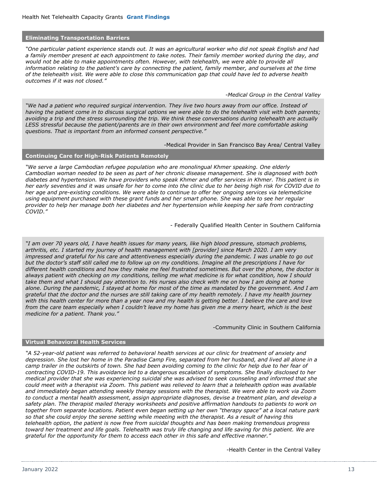#### **Eliminating Transportation Barriers**

*"One particular patient experience stands out. It was an agricultural worker who did not speak English and had a family member present at each appointment to take notes. Their family member worked during the day, and would not be able to make appointments often. However, with telehealth, we were able to provide all information relating to the patient's care by connecting the patient, family member, and ourselves at the time of the telehealth visit. We were able to close this communication gap that could have led to adverse health outcomes if it was not closed."*

*-Medical Group in the Central Valley*

*"We had a patient who required surgical intervention. They live two hours away from our office. Instead of having the patient come in to discuss surgical options we were able to do the telehealth visit with both parents; avoiding a trip and the stress surrounding the trip. We think these conversations during telehealth are actually LESS stressful because the patient/parents are in their own environment and feel more comfortable asking questions. That is important from an informed consent perspective."*

-Medical Provider in San Francisco Bay Area/ Central Valley

#### **Continuing Care for High-Risk Patients Remotely**

*"We serve a large Cambodian refugee population who are monolingual Khmer speaking. One elderly Cambodian woman needed to be seen as part of her chronic disease management. She is diagnosed with both diabetes and hypertension. We have providers who speak Khmer and offer services in Khmer. This patient is in her early seventies and it was unsafe for her to come into the clinic due to her being high risk for COVID due to her age and pre-existing conditions. We were able to continue to offer her ongoing services via telemedicine using equipment purchased with these grant funds and her smart phone. She was able to see her regular provider to help her manage both her diabetes and her hypertension while keeping her safe from contracting COVID."*

- Federally Qualified Health Center in Southern California

*"I am over 70 years old, I have health issues for many years, like high blood pressure, stomach problems, arthritis, etc. I started my journey of health management with [provider] since March 2020. I am very impressed and grateful for his care and attentiveness especially during the pandemic. I was unable to go out but the doctor's staff still called me to follow up on my conditions. Imagine all the prescriptions I have for different health conditions and how they make me feel frustrated sometimes. But over the phone, the doctor is always patient with checking on my conditions, telling me what medicine is for what condition, how I should take them and what I should pay attention to. His nurses also check with me on how I am doing at home alone. During the pandemic, I stayed at home for most of the time as mandated by the government. And I am grateful that the doctor and the nurses are still taking care of my health remotely. I have my health journey with this health center for more than a year now and my health is getting better. I believe the care and love from the care team especially when I couldn't leave my home has given me a merry heart, which is the best medicine for a patient. Thank you."*

-Community Clinic in Southern California

### **Virtual Behavioral Health Services**

*"A 52-year-old patient was referred to behavioral health services at our clinic for treatment of anxiety and depression. She lost her home in the Paradise Camp Fire, separated from her husband, and lived all alone in a camp trailer in the outskirts of town. She had been avoiding coming to the clinic for help due to her fear of contracting COVID-19. This avoidance led to a dangerous escalation of symptoms. She finally disclosed to her medical provider that she was experiencing suicidal she was advised to seek counseling and informed that she could meet with a therapist via Zoom. This patient was relieved to learn that a telehealth option was available and immediately began attending weekly therapy sessions with the therapist. We were able to work via Zoom to conduct a mental health assessment, assign appropriate diagnoses, devise a treatment plan, and develop a*  safety plan. The therapist mailed therapy worksheets and positive affirmation handouts to patients to work on *together from separate locations. Patient even began setting up her own "therapy space" at a local nature park so that she could enjoy the serene setting while meeting with the therapist. As a result of having this telehealth option, the patient is now free from suicidal thoughts and has been making tremendous progress toward her treatment and life goals. Telehealth was truly life changing and life saving for this patient. We are grateful for the opportunity for them to access each other in this safe and effective manner."*

-Health Center in the Central Valley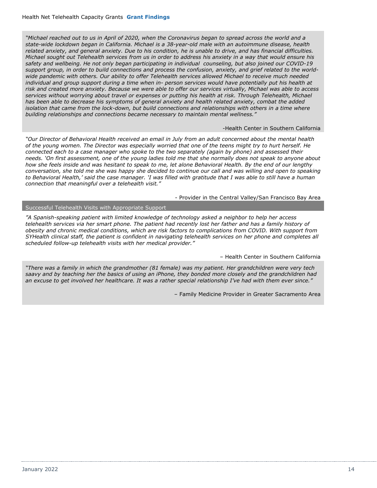*"Michael reached out to us in April of 2020, when the Coronavirus began to spread across the world and a state-wide lockdown began in California. Michael is a 38-year-old male with an autoimmune disease, health related anxiety, and general anxiety. Due to his condition, he is unable to drive, and has financial difficulties. Michael sought out Telehealth services from us in order to address his anxiety in a way that would ensure his safety and wellbeing. He not only began participating in individual counseling, but also joined our COVID-19 support group, in order to build connections and process the confusion, anxiety, and grief related to the worldwide pandemic with others. Our ability to offer Telehealth services allowed Michael to receive much needed individual and group support during a time when in- person services would have potentially put his health at risk and created more anxiety. Because we were able to offer our services virtually, Michael was able to access services without worrying about travel or expenses or putting his health at risk. Through Telehealth, Michael has been able to decrease his symptoms of general anxiety and health related anxiety, combat the added isolation that came from the lock-down, but build connections and relationships with others in a time where building relationships and connections became necessary to maintain mental wellness."*

-Health Center in Southern California

*"Our Director of Behavioral Health received an email in July from an adult concerned about the mental health of the young women. The Director was especially worried that one of the teens might try to hurt herself. He connected each to a case manager who spoke to the two separately (again by phone) and assessed their needs. 'On first assessment, one of the young ladies told me that she normally does not speak to anyone about how she feels inside and was hesitant to speak to me, let alone Behavioral Health. By the end of our lengthy conversation, she told me she was happy she decided to continue our call and was willing and open to speaking to Behavioral Health,' said the case manager. 'I was filled with gratitude that I was able to still have a human connection that meaningful over a telehealth visit."* 

- Provider in the Central Valley/San Francisco Bay Area

### Successful Telehealth Visits with Appropriate Support

*"A Spanish-speaking patient with limited knowledge of technology asked a neighbor to help her access telehealth services via her smart phone. The patient had recently lost her father and has a family history of obesity and chronic medical conditions, which are risk factors to complications from COVID. With support from SYHealth clinical staff, the patient is confident in navigating telehealth services on her phone and completes all scheduled follow-up telehealth visits with her medical provider."*

– Health Center in Southern California

*"There was a family in which the grandmother (81 female) was my patient. Her grandchildren were very tech saavy and by teaching her the basics of using an iPhone, they bonded more closely and the grandchildren had an excuse to get involved her healthcare. It was a rather special relationship I've had with them ever since."*

– Family Medicine Provider in Greater Sacramento Area